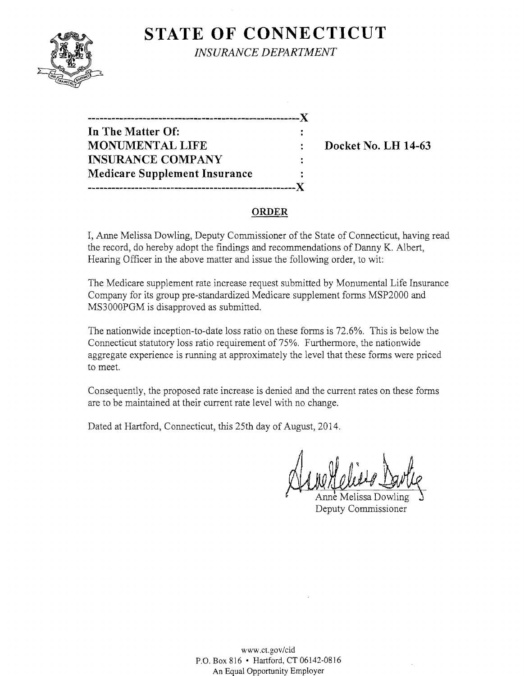# **STATE OF CONNECTICUT**



*INSURANCE DEPARTMENT* 

**------------------------------------------------------)( In The Matter Of: MONUMENTAL LIFE : Docket No. LH 14-63 INSURANCE COMPANY**   $\mathbb{R}^2$ **Medicare Supplement Insurance -----------------------------------------------------)(** 

# **ORDER**

I, Anne Melissa Dowling, Deputy Commissioner of the State of Connecticut, having read the record, do hereby adopt the findings and recommendations of Danny K. Albert, Hearing Officer in the above matter and issue the following order, to wit:

The Medicare supplement rate increase request submitted by Monumental Life Insurance Company for its group pre-standardized Medicare supplement forms MSP2000 and MS3000PGM is disapproved as submitted.

The nationwide inception-to-date loss ratio on these forms is 72.6%. This is below the Connecticut statutory loss ratio requirement of 75%. Furthermore, the nationwide aggregate experience is running at approximately the level that these forms were priced to meet.

Consequently, the proposed rate increase is denied and the current rates on these forms are to be maintained at their current rate level with no change.

Dated at Hartford, Connecticut, this 25th day of August, 2014.

nne Melissa Dowling Deputy Commissioner

www.ct.gov/cid P.O. Box 816 • Hartford, CT 06142-0816 An Equal Opportunity Employer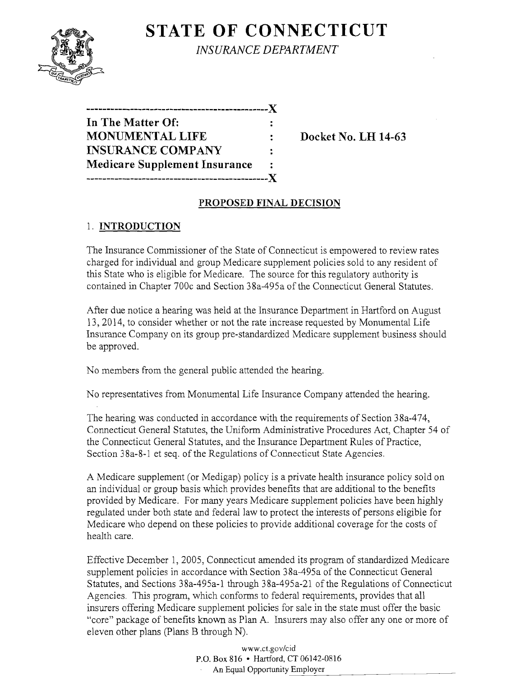

**STATE OF CONNECTICUT** *INSURANCE DEPARTMENT* 

| .------------------------------X     |   |
|--------------------------------------|---|
| In The Matter Of:                    |   |
| <b>MONUMENTAL LIFE</b>               |   |
| <b>INSURANCE COMPANY</b>             | ÷ |
| <b>Medicare Supplement Insurance</b> |   |
|                                      |   |

**Docket No. LH 14-63** 

# **PROPOSED FINAL DECISION**

### 1. **INTRODUCTION**

The Insurance Commissioner of the State of Connecticut is empowered to review rates charged for individual and group Medicare supplement policies sold to any resident of this State who is eligible for Medicare. The source for this regulatory authority is contained in Chapter 700c and Section 38a-495a of the Connecticut General Statutes.

After due notice a hearing was held at the Insurance Department in Hartford on August 13, 2014, to consider whether or not the rate increase requested by Monumental Life Insurance Company on its group pre-standardized Medicare supplement business should be approved.

No members from the general public attended the hearing.

No representatives from Monumental Life Insurance Company attended the hearing.

The hearing was conducted in accordance with the requirements of Section 38a-474, Connecticut General Statutes, the Uniform Administrative Procedures Act, Chapter 54 of the Connecticut General Statutes, and the Insurance Department Rules of Practice, Section 38a-8-1 et seq. of the Regulations of Connecticut State Agencies.

A Medicare supplement (or Medigap) policy is a private health insurance policy sold on an individual or group basis which provides benefits that are additional to the benefits provided by Medicare. For many years Medicare supplement policies have been highly regulated under both state and federal law to protect the interests of persons eligible for Medicare who depend on these policies to provide additional coverage for the costs of health care.

Effective December 1,2005, Connecticut amended its program of standardized Medicare supplement policies in accordance with Section 38a-495a of the Connecticut General Statutes, and Sections 38a-495a-1 through 38a-495a-21 of the Regulations of Connecticut Agencies. This program, which conforms to federal requirements, provides that all insurers offering Medicare supplement policies for sale in the state must offer the basic "core" package of benefits known as Plan A. Insurers may also offer anyone or more of eleven other plans (Plans B through N).

> www.ct.gov/cid P.O. Box 816 • Hartford, CT 06142-0816 An Equal Opportunity Employer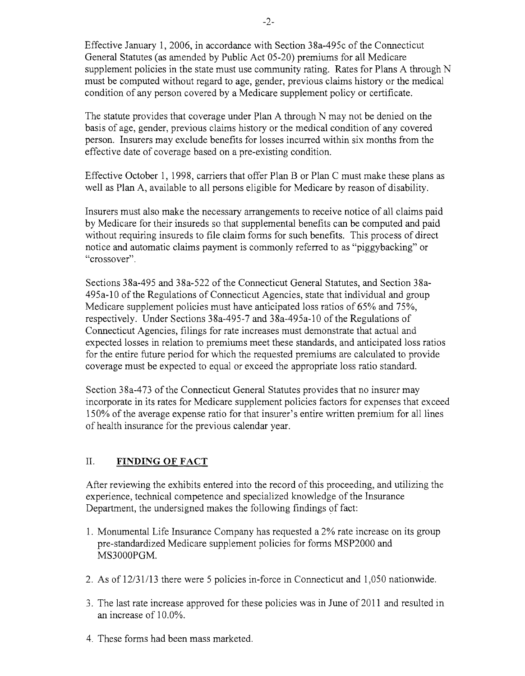Effective January 1,2006, in accordance with Section 38a-495c of the Connecticut General Statutes (as amended by Public Act 05-20) premiums for all Medicare supplement policies in the state must use community rating. Rates for Plans A through N must be computed without regard to age, gender, previous claims history or the medical condition of any person covered by a Medicare supplement policy or certificate.

The statute provides that coverage under Plan A through N may not be denied on the basis of age, gender, previous claims history or the medical condition of any covered person. Insurers may exclude benefits for losses incurred within six months from the effective date of coverage based on a pre-existing condition.

Effective October 1, 1998, carriers that offer Plan B or Plan C must make these plans as well as Plan A, available to all persons eligible for Medicare by reason of disability.

Insurers must also make the necessary arrangements to receive notice of all claims paid by Medicare for their insureds so that supplemental benefits can be computed and paid without requiring insureds to file claim forms for such benefits. This process of direct notice and automatic claims payment is commonly referred to as "piggybacking" or "crossover".

Sections 38a-495 and 38a-522 of the Connecticut General Statutes, and Section 38a-495a-l0 of the Regulations of Connecticut Agencies, state that individual and group Medicare supplement policies must have anticipated loss ratios of 65% and 75%, respectively. Under Sections 38a-495-7 and 38a-495a-10 of the Regulations of Connecticut Agencies, filings for rate increases must demonstrate that actual and expected losses in relation to premiums meet these standards, and anticipated loss ratios for the entire future period for which the requested premiums are calculated to provide coverage must be expected to equal or exceed the appropriate loss ratio standard.

Section 38a-473 of the Connecticut General Statutes provides that no insurer may incorporate in its rates for Medicare supplement policies factors for expenses that exceed 150% of the average expense ratio for that insurer's entire written premium for all lines of health insurance for the previous calendar year.

#### II. **FINDING OF FACT**

After reviewing the exhibits entered into the record of this proceeding, and utilizing the experience, technical competence and specialized knowledge of the Insurance Department, the undersigned makes the following findings of fact:

- 1. Monumental Life Insurance Company has requested a 2% rate increase on its group pre-standardized Medicare supplement policies for forms MSP2000 and MS3000PGM.
- 2. As of12/31/13 there were 5 policies in-force in Connecticut and 1,050 nationwide.
- 3. The last rate increase approved for these policies was in June of2011 and resulted in an increase of 10.0%.
- 4. These forms had been mass marketed.